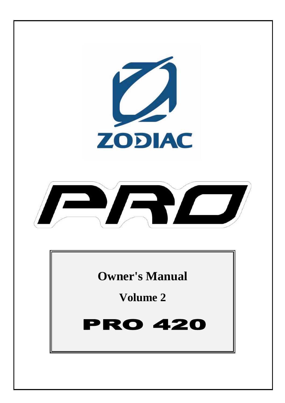

**Owner's Manual** 

**Volume 2** 

### **RO 420** P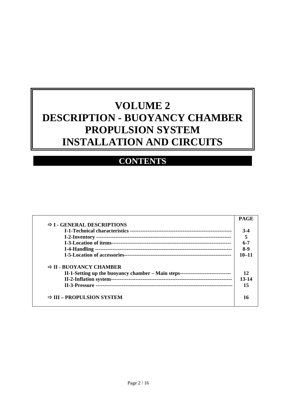# **VOLUME 2 DESCRIPTION - BUOYANCY CHAMBER PROPULSION SYSTEM INSTALLATION AND CIRCUITS**

## **CONTENTS**

| $\Rightarrow$ I - GENERAL DESCRIPTIONS                                            |           |
|-----------------------------------------------------------------------------------|-----------|
|                                                                                   | $3-4$     |
|                                                                                   |           |
|                                                                                   | 6-7       |
|                                                                                   | 8-9       |
|                                                                                   | $10 - 11$ |
| $\Rightarrow$ II - BUOYANCY CHAMBER                                               |           |
| II-1-Setting up the buoyancy chamber – Main steps-------------------------------- | 12        |
|                                                                                   | 13-14     |
|                                                                                   | 15        |
| $\Rightarrow$ III – PROPULSION SYSTEM                                             | 16        |
|                                                                                   |           |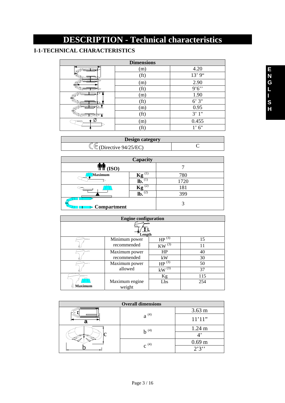# **DESCRIPTION - Technical characteristics**

### **I-1-TECHNICAL CHARACTERISTICS**

| <b>Dimensions</b> |                   |        |  |
|-------------------|-------------------|--------|--|
|                   | (m)               | 4.20   |  |
|                   | (f <sub>t</sub> ) | 13' 9" |  |
|                   | (m)               | 2.90   |  |
|                   | (f <sub>t</sub> ) | 9'6'   |  |
|                   | (m)               | 1.90   |  |
|                   | (ft)              | 6'3''  |  |
|                   | (m)               | 0.95   |  |
|                   | (f <sub>t</sub> ) | 3'1"   |  |
|                   | (m)               | 0.455  |  |
|                   |                   | 1'6''  |  |

| <b>Design category</b>  |  |  |
|-------------------------|--|--|
| (Directive $94/25/EC$ ) |  |  |

| Capacity                     |            |      |  |
|------------------------------|------------|------|--|
| T T T (ISO)                  |            |      |  |
| <b>Maximum</b>               |            | 780  |  |
|                              | lb.        | 1720 |  |
|                              |            | 181  |  |
|                              | (2)<br>lb. | 399  |  |
| $\triangleright$ Compartment |            |      |  |

| <b>Engine configuration</b> |                |                       |     |
|-----------------------------|----------------|-----------------------|-----|
| Length                      |                |                       |     |
|                             | Minimum power  | $HP^{(3)}$            | 15  |
|                             | recommended    | $KW^{(3)}$            |     |
|                             | Maximum power  | HP                    | 40  |
|                             | recommended    | kW                    | 30  |
|                             | Maximum power  | $HP^{\overline{(3)}}$ | 50  |
|                             | allowed        | $kW^{\overline{(3)}}$ | 37  |
|                             |                | Kg                    | 115 |
|                             | Maximum engine | Lbs                   | 254 |
| <b>Maximum</b>              | weight         |                       |     |

| <b>Overall dimensions</b> |           |                   |  |
|---------------------------|-----------|-------------------|--|
|                           | $a^{(4)}$ | $3.63 \text{ m}$  |  |
|                           |           | 11'11"            |  |
|                           | $h^{(4)}$ | $1.24 \text{ m}$  |  |
|                           |           |                   |  |
|                           | $c^{(4)}$ | 0.69 <sub>m</sub> |  |
|                           |           | 2'3''             |  |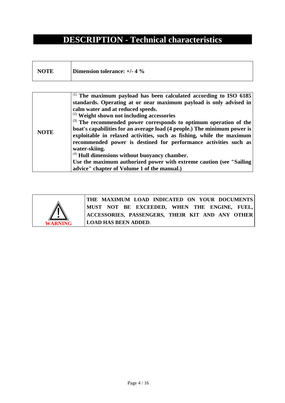## **DESCRIPTION - Technical characteristics**

| <b>NOTE</b> | Dimension tolerance: $+/- 4 \%$ |
|-------------|---------------------------------|
|-------------|---------------------------------|

|             | $^{(1)}$ The maximum payload has been calculated according to ISO 6185               |
|-------------|--------------------------------------------------------------------------------------|
|             | standards. Operating at or near maximum payload is only advised in                   |
|             | calm water and at reduced speeds.                                                    |
|             | $\left( \text{2} \right)$ Weight shown not including accessories                     |
|             | $\vert$ <sup>(3)</sup> The recommended power corresponds to optimum operation of the |
| <b>NOTE</b> | boat's capabilities for an average load (4 people.) The minimum power is             |
|             | exploitable in relaxed activities, such as fishing, while the maximum                |
|             | recommended power is destined for performance activities such as                     |
|             | water-skiing.                                                                        |
|             | $\vert$ <sup>(4)</sup> Hull dimensions without buoyancy chamber.                     |
|             | Use the maximum authorized power with extreme caution (see "Sailing")                |
|             | advice" chapter of Volume 1 of the manual.)                                          |



**THE MAXIMUM LOAD INDICATED ON YOUR DOCUMENTS MUST NOT BE EXCEEDED, WHEN THE ENGINE, FUEL, ACCESSORIES, PASSENGERS, THEIR KIT AND ANY OTHER LOAD HAS BEEN ADDED**.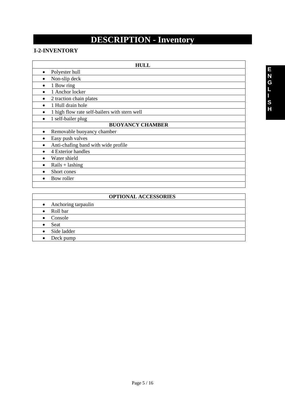# **DESCRIPTION - Inventory**

### **I-2-INVENTORY**

| <b>HULL</b> |                                               |  |  |
|-------------|-----------------------------------------------|--|--|
| $\bullet$   | Polyester hull                                |  |  |
|             | Non-slip deck                                 |  |  |
|             | 1 Bow ring                                    |  |  |
|             | 1 Anchor locker                               |  |  |
|             | 2 traction chain plates                       |  |  |
|             | 1 Hull drain hole                             |  |  |
|             | 1 high flow rate self-bailers with stern well |  |  |
|             | 1 self-bailer plug                            |  |  |
|             | <b>BUOYANCY CHAMBER</b>                       |  |  |
| $\bullet$   | Removable buoyancy chamber                    |  |  |
|             | Easy push valves                              |  |  |
|             | Anti-chafing band with wide profile           |  |  |
|             | 4 Exterior handles                            |  |  |
|             | Water shield                                  |  |  |
|             | $Rails + lashing$                             |  |  |
|             | Short cones                                   |  |  |

• Bow roller

|                          | <b>OPTIONAL ACCESSORIES</b> |
|--------------------------|-----------------------------|
| • Anchoring tarpaulin    |                             |
| • Roll bar               |                             |
| Console<br>$\bullet$     |                             |
| Seat                     |                             |
| Side ladder<br>$\bullet$ |                             |
| Deck pump                |                             |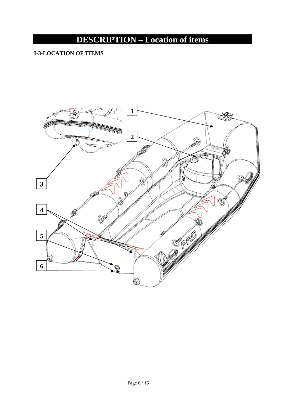# **DESCRIPTION – Location of items**

### **I-3-LOCATION OF ITEMS**

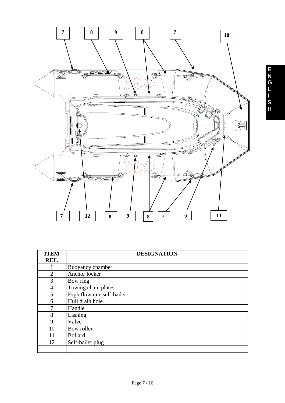

| <b>ITEM</b>    | <b>DESIGNATION</b>         |  |  |
|----------------|----------------------------|--|--|
| REF.           |                            |  |  |
|                | Buoyancy chamber           |  |  |
| $\overline{2}$ | Anchor locker              |  |  |
| 3              | Bow ring                   |  |  |
| 4              | Towing chain plates        |  |  |
| 5              | High flow rate self-bailer |  |  |
| 6              | Hull drain hole            |  |  |
| 7              | Handle                     |  |  |
| 8              | Lashing                    |  |  |
| 9              | Valve                      |  |  |
| 10             | Bow roller                 |  |  |
| 11             | <b>Bollard</b>             |  |  |
| 12             | Self-bailer plug           |  |  |
|                |                            |  |  |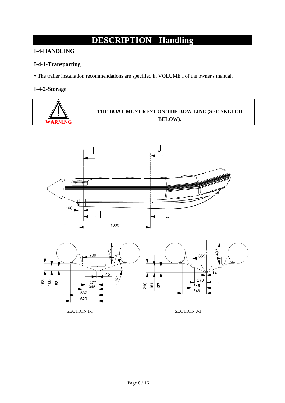# **DESCRIPTION - Handling**

### **I-4-HANDLING**

#### **I-4-1-Transporting**

y The trailer installation recommendations are specified in VOLUME I of the owner's manual.

### **I-4-2-Storage**







546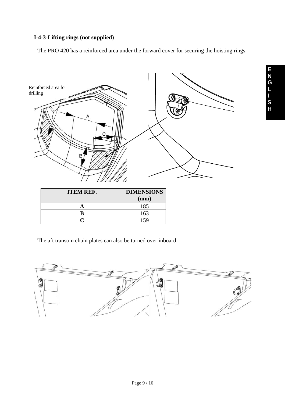### **I-4-3-Lifting rings (not supplied)**

- The PRO 420 has a reinforced area under the forward cover for securing the hoisting rings.



- The aft transom chain plates can also be turned over inboard.

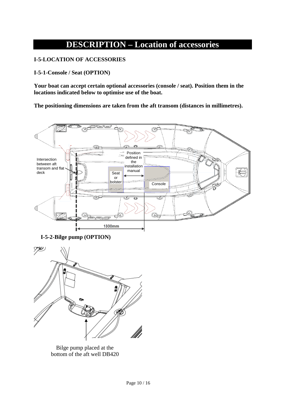## **DESCRIPTION – Location of accessories**

#### **I-5-LOCATION OF ACCESSORIES**

**I-5-1-Console / Seat (OPTION)** 

**Your boat can accept certain optional accessories (console / seat). Position them in the locations indicated below to optimise use of the boat.** 

**The positioning dimensions are taken from the aft transom (distances in millimetres).** 



**I-5-2-Bilge pump (OPTION)** 



Bilge pump placed at the bottom of the aft well DB420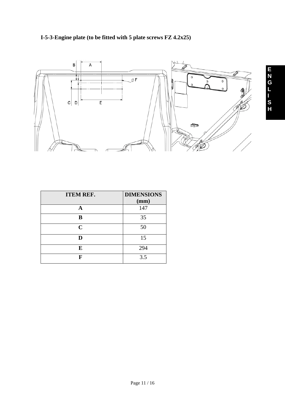



| <b>ITEM REF.</b> | <b>DIMENSIONS</b> |
|------------------|-------------------|
|                  | (mm)              |
| A                | 147               |
| B                | 35                |
| $\mathbf C$      | 50                |
| D                | 15                |
| E                | 294               |
| F                | 3.5               |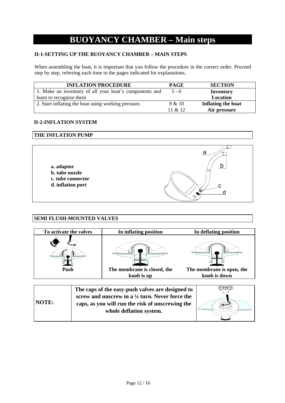## **BUOYANCY CHAMBER – Main steps**

#### **II-1-SETTING UP THE BUOYANCY CHAMBER – MAIN STEPS**

When assembling the boat, it is important that you follow the procedure in the correct order. Proceed step by step, referring each time to the pages indicated for explanations.

| <b>INFLATION PROCEDURE</b>                             | <b>PAGE</b> | <b>SECTION</b>     |
|--------------------------------------------------------|-------------|--------------------|
| 1. Make an inventory of all your boat's components and | $5 - 6$     | Inventory          |
| learn to recognize them                                |             | Location           |
| 2. Start inflating the boat using working pressure.    | 9 & 10      | Inflating the boat |
|                                                        | 11 $& 12$   | Air pressure       |

#### **II-2-INFLATION SYSTEM**

#### **THE INFLATION PUMP**



#### **SEMI FLUSH-MOUNTED VALVES**

| To activate the valves                     | In inflating position       | In deflating position                                       |
|--------------------------------------------|-----------------------------|-------------------------------------------------------------|
| and a correction<br><del>,,,,,,,,,</del> , | ,,,,,,,,,,,,,,,,,,,,,,,     | ,,,,,,,,,,,,,,,,<br>,,,,,,,,,,,,,,,,,,<br><b>Processing</b> |
| <b>Push</b>                                | The membrane is closed, the | The membrane is open, the                                   |
|                                            | knob is up                  | knob is down                                                |

|              | The caps of the easy-push valves are designed to           |                          |
|--------------|------------------------------------------------------------|--------------------------|
|              | screw and unscrew in a $\frac{1}{4}$ turn. Never force the |                          |
| <b>NOTE:</b> | caps, as you will run the risk of unscrewing the           |                          |
|              | whole deflation system.                                    | $\overline{\phantom{a}}$ |
|              |                                                            |                          |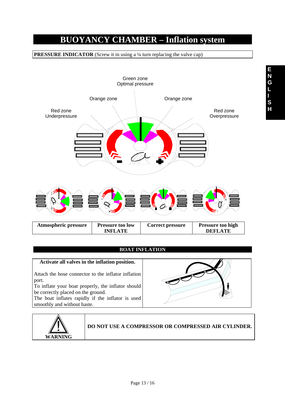## **BUOYANCY CHAMBER – Inflation system**

**PRESSURE INDICATOR** (Screw it in using a 1/4 turn replacing the valve cap)



#### **BOAT INFLATION**

**Activate all valves in the inflation position.** 

Attach the hose connector to the inflator inflation port.

To inflate your boat properly, the inflator should be correctly placed on the ground.

The boat inflates rapidly if the inflator is used smoothly and without haste.

![](_page_12_Picture_8.jpeg)

![](_page_12_Picture_9.jpeg)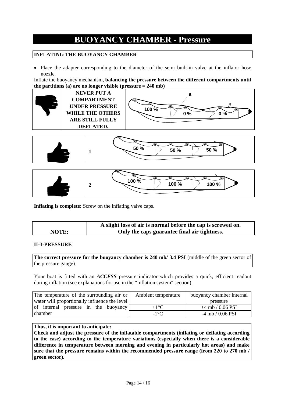## **BUOYANCY CHAMBER - Pressure**

#### **INFLATING THE BUOYANCY CHAMBER**

• Place the adapter corresponding to the diameter of the semi built-in valve at the inflator hose nozzle.

Inflate the buoyancy mechanism, **balancing the pressure between the different compartments until the partitions (a) are no longer visible (pressure = 240 mb)**

![](_page_13_Figure_4.jpeg)

![](_page_13_Figure_5.jpeg)

![](_page_13_Figure_6.jpeg)

**Inflating is complete:** Screw on the inflating valve caps.

|       | A slight loss of air is normal before the cap is screwed on. |  |
|-------|--------------------------------------------------------------|--|
| NOTE: | Only the caps guarantee final air tightness.                 |  |

#### **II-3-PRESSURE**

The correct pressure for the buoyancy chamber is 240 mb/ 3.4 PSI (middle of the green sector of the pressure gauge).

Your boat is fitted with an *ACCESS* pressure indicator which provides a quick, efficient readout during inflation (see explanations for use in the "Inflation system" section).

| The temperature of the surrounding air or     | Ambient temperature | buoyancy chamber internal |
|-----------------------------------------------|---------------------|---------------------------|
| water will proportionally influence the level |                     | pressure                  |
| of internal pressure in the buoyancy          | $+1$ <sup>o</sup> C | $+4$ mb / 0.06 PSI        |
| chamber                                       | $-1$ °C             | $-4$ mb / 0.06 PSI        |

#### **Thus, it is important to anticipate:**

**Check and adjust the pressure of the inflatable compartments (inflating or deflating according to the case) according to the temperature variations (especially when there is a considerable difference in temperature between morning and evening in particularly hot areas) and make sure that the pressure remains within the recommended pressure range (from 220 to 270 mb / green sector).**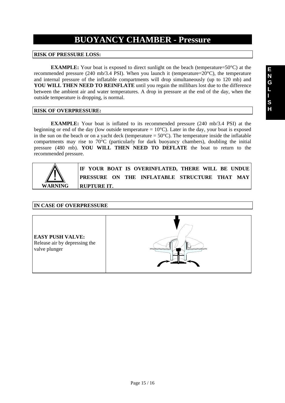## **BUOYANCY CHAMBER - Pressure**

#### **RISK OF PRESSURE LOSS:**

**EXAMPLE:** Your boat is exposed to direct sunlight on the beach (temperature=50°C) at the recommended pressure (240 mb/3.4 PSI). When you launch it (temperature=20°C), the temperature and internal pressure of the inflatable compartments will drop simultaneously (up to 120 mb) and **YOU WILL THEN NEED TO REINFLATE** until you regain the millibars lost due to the difference between the ambient air and water temperatures. A drop in pressure at the end of the day, when the outside temperature is dropping, is normal.

#### **RISK OF OVERPRESSURE:**

 **EXAMPLE:** Your boat is inflated to its recommended pressure (240 mb/3.4 PSI) at the beginning or end of the day (low outside temperature  $= 10^{\circ}$ C). Later in the day, your boat is exposed in the sun on the beach or on a yacht deck (temperature =  $50^{\circ}$ C). The temperature inside the inflatable compartments may rise to 70°C (particularly for dark buoyancy chambers), doubling the initial pressure (480 mb). **YOU WILL THEN NEED TO DEFLATE** the boat to return to the recommended pressure.

![](_page_14_Picture_6.jpeg)

**IF YOUR BOAT IS OVERINFLATED, THERE WILL BE UNDUE PRESSURE ON THE INFLATABLE STRUCTURE THAT MAY RUPTURE IT.** 

#### **IN CASE OF OVERPRESSURE**

![](_page_14_Picture_9.jpeg)